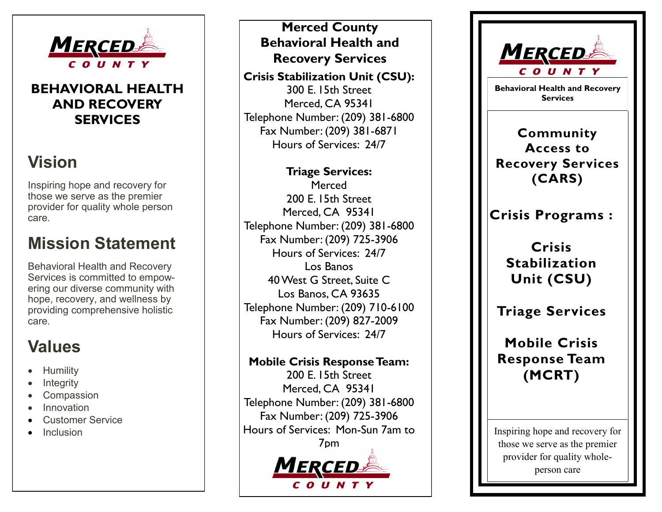

### **BEHAVIORAL HEALTH AND RECOVERY SERVICES**

## **Vision**

Inspiring hope and recovery for those we serve as the premier provider for quality whole person care.

## **Mission Statement**

Behavioral Health and Recovery Services is committed to empowering our diverse community with hope, recovery, and wellness by providing comprehensive holistic care.

# **Values**

- **Humility**
- **Integrity**
- Compassion
- Innovation
- Customer Service
- **Inclusion**

## **Merced County Behavioral Health and Recovery Services**

**Crisis Stabilization Unit (CSU):** 300 E. 15th Street Merced, CA 95341 Telephone Number: (209) 381 -6800 Fax Number: (209) 381 -6871 Hours of Services: 24/7

### **Triage Services:**

Merced 200 E. 15th Street Merced, CA 95341 Telephone Number: (209) 381 -6800 Fax Number: (209) 725 -3906 Hours of Services: 24/7 Los Banos 40 West G Street, Suite C Los Banos, CA 93635 Telephone Number: (209) 710 -6100 Fax Number: (209) 827 -2009 Hours of Services: 24/7

#### **Mobile Crisis Response Team:**

200 E. 15th Street Merced, CA 95341 Telephone Number: (209) 381 -6800 Fax Number: (209) 725 -3906 Hours of Services: Mon -Sun 7am to 7pm





**Behavioral Health and Recovery Services** 

**Community Access to Recovery Services (CARS)**

**Crisis Programs :**

**Crisis Stabilization Unit (CSU)**

**Triage Services**

**Mobile Crisis Response Team (MCRT)**

Inspiring hope and recovery for those we serve as the premier provider for quality whole person care